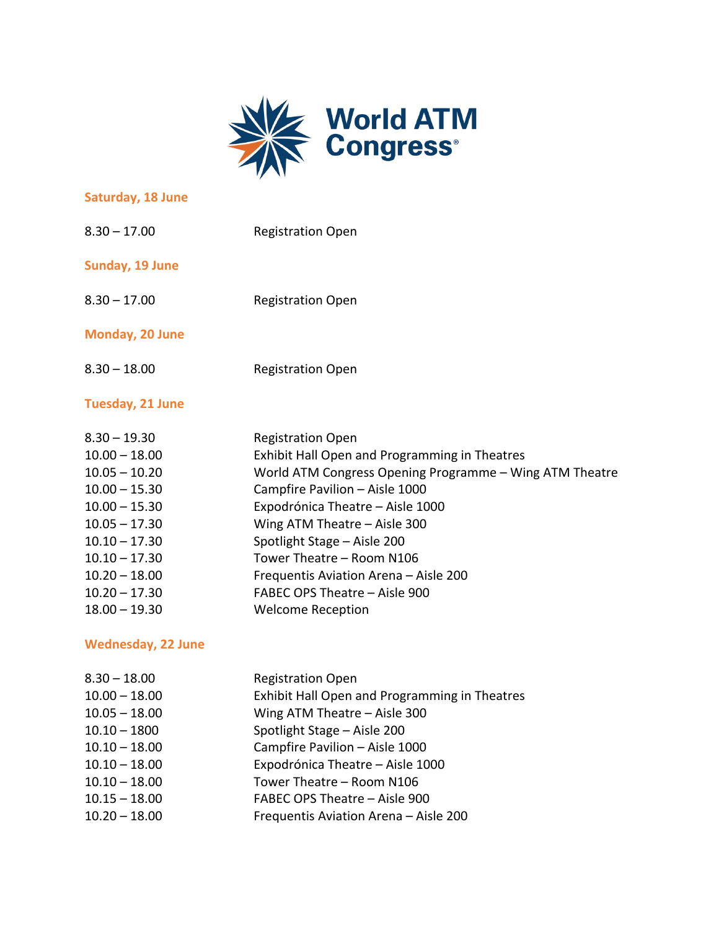

### **Saturday, 18 June**

| $8.30 - 17.00$  | <b>Registration Open</b> |
|-----------------|--------------------------|
| Sunday, 19 June |                          |

8.30 – 17.00 Registration Open

## **Monday, 20 June**

8.30 – 18.00 Registration Open

# **Tuesday, 21 June**

| <b>Registration Open</b>                                |
|---------------------------------------------------------|
| Exhibit Hall Open and Programming in Theatres           |
| World ATM Congress Opening Programme - Wing ATM Theatre |
| Campfire Pavilion - Aisle 1000                          |
| Expodrónica Theatre - Aisle 1000                        |
| Wing ATM Theatre $-$ Aisle 300                          |
| Spotlight Stage - Aisle 200                             |
| Tower Theatre - Room N106                               |
| Frequentis Aviation Arena - Aisle 200                   |
| FABEC OPS Theatre - Aisle 900                           |
| <b>Welcome Reception</b>                                |
|                                                         |

#### **Wednesday, 22 June**

| $8.30 - 18.00$  | <b>Registration Open</b>                      |
|-----------------|-----------------------------------------------|
| $10.00 - 18.00$ | Exhibit Hall Open and Programming in Theatres |
| $10.05 - 18.00$ | Wing ATM Theatre $-$ Aisle 300                |
| $10.10 - 1800$  | Spotlight Stage - Aisle 200                   |
| $10.10 - 18.00$ | Campfire Pavilion - Aisle 1000                |
| $10.10 - 18.00$ | Expodrónica Theatre - Aisle 1000              |
| $10.10 - 18.00$ | Tower Theatre - Room N106                     |
| $10.15 - 18.00$ | FABEC OPS Theatre - Aisle 900                 |
| $10.20 - 18.00$ | Frequentis Aviation Arena - Aisle 200         |
|                 |                                               |